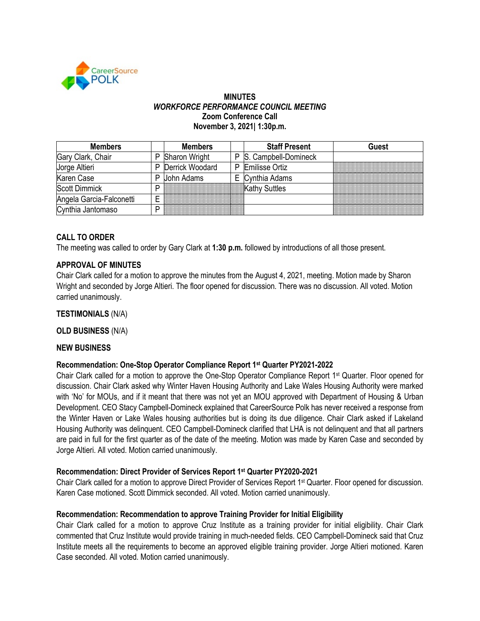

### **MINUTES** *WORKFORCE PERFORMANCE COUNCIL MEETING* **Zoom Conference Call November 3, 2021| 1:30p.m.**

| <b>Members</b>           |   | <b>Members</b>       |    | <b>Staff Present</b>   | <b>Guest</b> |
|--------------------------|---|----------------------|----|------------------------|--------------|
| Gary Clark, Chair        | P | <b>Sharon Wright</b> |    | P S. Campbell-Domineck |              |
| Jorge Altieri            | P | Derrick Woodard      | P. | <b>Emilisse Ortiz</b>  |              |
| Karen Case               | P | John Adams           |    | E Cynthia Adams        |              |
| <b>Scott Dimmick</b>     | P |                      |    | Kathy Suttles          |              |
| Angela Garcia-Falconetti |   |                      |    |                        |              |
| Cynthia Jantomaso        | D |                      |    |                        |              |

# **CALL TO ORDER**

The meeting was called to order by Gary Clark at **1:30 p.m.** followed by introductions of all those present.

## **APPROVAL OF MINUTES**

Chair Clark called for a motion to approve the minutes from the August 4, 2021, meeting. Motion made by Sharon Wright and seconded by Jorge Altieri. The floor opened for discussion. There was no discussion. All voted. Motion carried unanimously.

**TESTIMONIALS** (N/A)

**OLD BUSINESS** (N/A)

### **NEW BUSINESS**

### **Recommendation: One-Stop Operator Compliance Report 1st Quarter PY2021-2022**

Chair Clark called for a motion to approve the One-Stop Operator Compliance Report 1st Quarter. Floor opened for discussion. Chair Clark asked why Winter Haven Housing Authority and Lake Wales Housing Authority were marked with 'No' for MOUs, and if it meant that there was not yet an MOU approved with Department of Housing & Urban Development. CEO Stacy Campbell-Domineck explained that CareerSource Polk has never received a response from the Winter Haven or Lake Wales housing authorities but is doing its due diligence. Chair Clark asked if Lakeland Housing Authority was delinquent. CEO Campbell-Domineck clarified that LHA is not delinquent and that all partners are paid in full for the first quarter as of the date of the meeting. Motion was made by Karen Case and seconded by Jorge Altieri. All voted. Motion carried unanimously.

### **Recommendation: Direct Provider of Services Report 1st Quarter PY2020-2021**

Chair Clark called for a motion to approve Direct Provider of Services Report 1st Quarter. Floor opened for discussion. Karen Case motioned. Scott Dimmick seconded. All voted. Motion carried unanimously.

### **Recommendation: Recommendation to approve Training Provider for Initial Eligibility**

Chair Clark called for a motion to approve Cruz Institute as a training provider for initial eligibility. Chair Clark commented that Cruz Institute would provide training in much-needed fields. CEO Campbell-Domineck said that Cruz Institute meets all the requirements to become an approved eligible training provider. Jorge Altieri motioned. Karen Case seconded. All voted. Motion carried unanimously.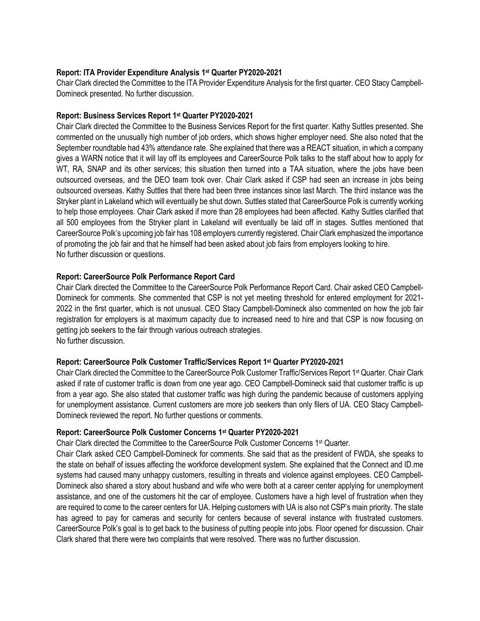### **Report: ITA Provider Expenditure Analysis 1st Quarter PY2020-2021**

Chair Clark directed the Committee to the ITA Provider Expenditure Analysis for the first quarter. CEO Stacy Campbell-Domineck presented. No further discussion.

### **Report: Business Services Report 1st Quarter PY2020-2021**

Chair Clark directed the Committee to the Business Services Report for the first quarter. Kathy Suttles presented. She commented on the unusually high number of job orders, which shows higher employer need. She also noted that the September roundtable had 43% attendance rate. She explained that there was a REACT situation, in which a company gives a WARN notice that it will lay off its employees and CareerSource Polk talks to the staff about how to apply for WT, RA, SNAP and its other services; this situation then turned into a TAA situation, where the jobs have been outsourced overseas, and the DEO team took over. Chair Clark asked if CSP had seen an increase in jobs being outsourced overseas. Kathy Suttles that there had been three instances since last March. The third instance was the Stryker plant in Lakeland which will eventually be shut down. Suttles stated that CareerSource Polk is currently working to help those employees. Chair Clark asked if more than 28 employees had been affected. Kathy Suttles clarified that all 500 employees from the Stryker plant in Lakeland will eventually be laid off in stages. Suttles mentioned that CareerSource Polk's upcoming job fair has 108 employers currently registered. Chair Clark emphasized the importance of promoting the job fair and that he himself had been asked about job fairs from employers looking to hire. No further discussion or questions.

### **Report: CareerSource Polk Performance Report Card**

Chair Clark directed the Committee to the CareerSource Polk Performance Report Card. Chair asked CEO Campbell-Domineck for comments. She commented that CSP is not yet meeting threshold for entered employment for 2021- 2022 in the first quarter, which is not unusual. CEO Stacy Campbell-Domineck also commented on how the job fair registration for employers is at maximum capacity due to increased need to hire and that CSP is now focusing on getting job seekers to the fair through various outreach strategies. No further discussion.

### **Report: CareerSource Polk Customer Traffic/Services Report 1st Quarter PY2020-2021**

Chair Clark directed the Committee to the CareerSource Polk Customer Traffic/Services Report 1st Quarter. Chair Clark asked if rate of customer traffic is down from one year ago. CEO Campbell-Domineck said that customer traffic is up from a year ago. She also stated that customer traffic was high during the pandemic because of customers applying for unemployment assistance. Current customers are more job seekers than only filers of UA. CEO Stacy Campbell-Domineck reviewed the report. No further questions or comments.

### **Report: CareerSource Polk Customer Concerns 1st Quarter PY2020-2021**

Chair Clark directed the Committee to the CareerSource Polk Customer Concerns 1st Quarter.

Chair Clark asked CEO Campbell-Domineck for comments. She said that as the president of FWDA, she speaks to the state on behalf of issues affecting the workforce development system. She explained that the Connect and ID.me systems had caused many unhappy customers, resulting in threats and violence against employees. CEO Campbell-Domineck also shared a story about husband and wife who were both at a career center applying for unemployment assistance, and one of the customers hit the car of employee. Customers have a high level of frustration when they are required to come to the career centers for UA. Helping customers with UA is also not CSP's main priority. The state has agreed to pay for cameras and security for centers because of several instance with frustrated customers. CareerSource Polk's goal is to get back to the business of putting people into jobs. Floor opened for discussion. Chair Clark shared that there were two complaints that were resolved. There was no further discussion.